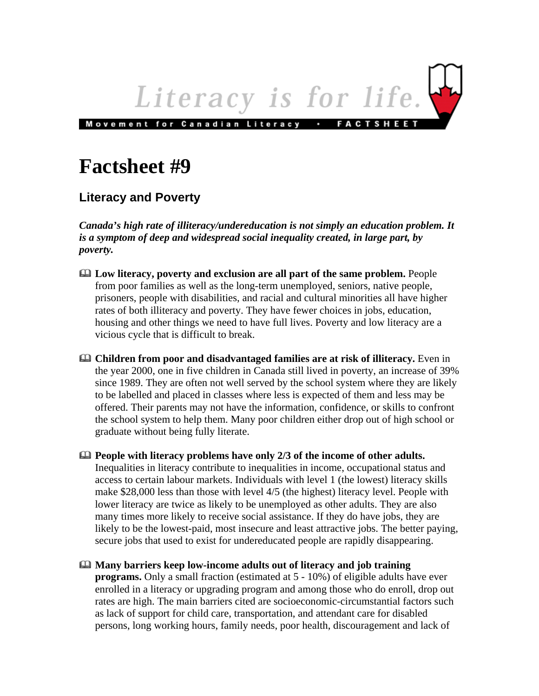

## **Factsheet #9**

## **Literacy and Poverty**

*Canada's high rate of illiteracy/undereducation is not simply an education problem. It is a symptom of deep and widespread social inequality created, in large part, by poverty.* 

- **Low literacy, poverty and exclusion are all part of the same problem.** People from poor families as well as the long-term unemployed, seniors, native people, prisoners, people with disabilities, and racial and cultural minorities all have higher rates of both illiteracy and poverty. They have fewer choices in jobs, education, housing and other things we need to have full lives. Poverty and low literacy are a vicious cycle that is difficult to break.
- **Children from poor and disadvantaged families are at risk of illiteracy.** Even in the year 2000, one in five children in Canada still lived in poverty, an increase of 39% since 1989. They are often not well served by the school system where they are likely to be labelled and placed in classes where less is expected of them and less may be offered. Their parents may not have the information, confidence, or skills to confront the school system to help them. Many poor children either drop out of high school or graduate without being fully literate.
- **People with literacy problems have only 2/3 of the income of other adults.** Inequalities in literacy contribute to inequalities in income, occupational status and access to certain labour markets. Individuals with level 1 (the lowest) literacy skills make \$28,000 less than those with level 4/5 (the highest) literacy level. People with lower literacy are twice as likely to be unemployed as other adults. They are also many times more likely to receive social assistance. If they do have jobs, they are likely to be the lowest-paid, most insecure and least attractive jobs. The better paying, secure jobs that used to exist for undereducated people are rapidly disappearing.
- **Many barriers keep low-income adults out of literacy and job training programs.** Only a small fraction (estimated at 5 - 10%) of eligible adults have ever enrolled in a literacy or upgrading program and among those who do enroll, drop out rates are high. The main barriers cited are socioeconomic-circumstantial factors such as lack of support for child care, transportation, and attendant care for disabled persons, long working hours, family needs, poor health, discouragement and lack of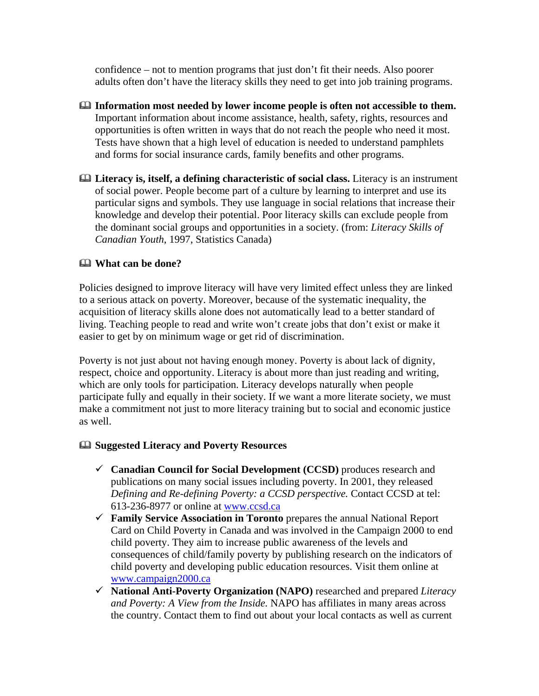confidence – not to mention programs that just don't fit their needs. Also poorer adults often don't have the literacy skills they need to get into job training programs.

- **Information most needed by lower income people is often not accessible to them.** Important information about income assistance, health, safety, rights, resources and opportunities is often written in ways that do not reach the people who need it most. Tests have shown that a high level of education is needed to understand pamphlets and forms for social insurance cards, family benefits and other programs.
- **Literacy is, itself, a defining characteristic of social class.** Literacy is an instrument of social power. People become part of a culture by learning to interpret and use its particular signs and symbols. They use language in social relations that increase their knowledge and develop their potential. Poor literacy skills can exclude people from the dominant social groups and opportunities in a society. (from: *Literacy Skills of Canadian Youth*, 1997, Statistics Canada)

## **What can be done?**

Policies designed to improve literacy will have very limited effect unless they are linked to a serious attack on poverty. Moreover, because of the systematic inequality, the acquisition of literacy skills alone does not automatically lead to a better standard of living. Teaching people to read and write won't create jobs that don't exist or make it easier to get by on minimum wage or get rid of discrimination.

Poverty is not just about not having enough money. Poverty is about lack of dignity, respect, choice and opportunity. Literacy is about more than just reading and writing, which are only tools for participation. Literacy develops naturally when people participate fully and equally in their society. If we want a more literate society, we must make a commitment not just to more literacy training but to social and economic justice as well.

## **Suggested Literacy and Poverty Resources**

- 9 **Canadian Council for Social Development (CCSD)** produces research and publications on many social issues including poverty. In 2001, they released *Defining and Re-defining Poverty: a CCSD perspective.* Contact CCSD at tel: 613-236-8977 or online at [www.ccsd.ca](http://www.ccsd.ca/home.htm)
- 9 **Family Service Association in Toronto** prepares the annual National Report Card on Child Poverty in Canada and was involved in the Campaign 2000 to end child poverty. They aim to increase public awareness of the levels and consequences of child/family poverty by publishing research on the indicators of child poverty and developing public education resources. Visit them online at [www.campaign2000.ca](http://www.campaign2000.ca/)
- 9 **National Anti-Poverty Organization (NAPO)** researched and prepared *Literacy and Poverty: A View from the Inside.* NAPO has affiliates in many areas across the country. Contact them to find out about your local contacts as well as current